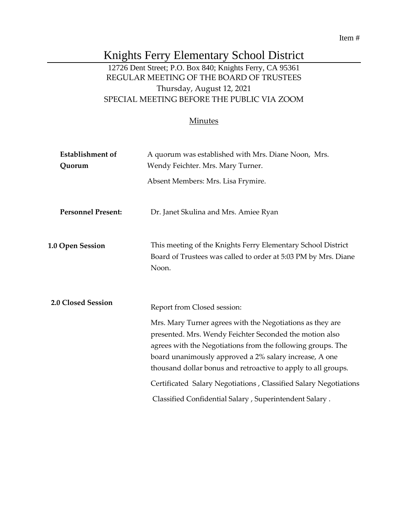#### Item #

# Knights Ferry Elementary School District

# 12726 Dent Street; P.O. Box 840; Knights Ferry, CA 95361 REGULAR MEETING OF THE BOARD OF TRUSTEES Thursday, August 12, 2021 SPECIAL MEETING BEFORE THE PUBLIC VIA ZOOM

#### **Minutes**

| <b>Establishment</b> of<br>Quorum | A quorum was established with Mrs. Diane Noon, Mrs.<br>Wendy Feichter. Mrs. Mary Turner.                                                                                                                                                                                                                       |
|-----------------------------------|----------------------------------------------------------------------------------------------------------------------------------------------------------------------------------------------------------------------------------------------------------------------------------------------------------------|
|                                   | Absent Members: Mrs. Lisa Frymire.                                                                                                                                                                                                                                                                             |
| <b>Personnel Present:</b>         | Dr. Janet Skulina and Mrs. Amiee Ryan                                                                                                                                                                                                                                                                          |
| 1.0 Open Session                  | This meeting of the Knights Ferry Elementary School District<br>Board of Trustees was called to order at 5:03 PM by Mrs. Diane<br>Noon.                                                                                                                                                                        |
| 2.0 Closed Session                | Report from Closed session:                                                                                                                                                                                                                                                                                    |
|                                   | Mrs. Mary Turner agrees with the Negotiations as they are<br>presented. Mrs. Wendy Feichter Seconded the motion also<br>agrees with the Negotiations from the following groups. The<br>board unanimously approved a 2% salary increase, A one<br>thousand dollar bonus and retroactive to apply to all groups. |
|                                   | Certificated Salary Negotiations, Classified Salary Negotiations                                                                                                                                                                                                                                               |
|                                   | Classified Confidential Salary, Superintendent Salary.                                                                                                                                                                                                                                                         |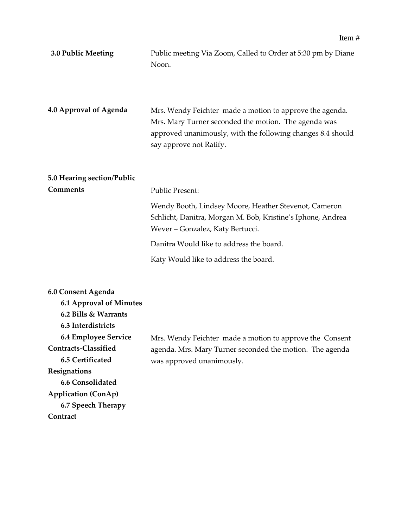| 3.0 Public Meeting         | Public meeting Via Zoom, Called to Order at 5:30 pm by Diane<br>Noon.                                                                                                                                      |
|----------------------------|------------------------------------------------------------------------------------------------------------------------------------------------------------------------------------------------------------|
| 4.0 Approval of Agenda     | Mrs. Wendy Feichter made a motion to approve the agenda.<br>Mrs. Mary Turner seconded the motion. The agenda was<br>approved unanimously, with the following changes 8.4 should<br>say approve not Ratify. |
| 5.0 Hearing section/Public |                                                                                                                                                                                                            |
| <b>Comments</b>            | <b>Public Present:</b>                                                                                                                                                                                     |
|                            | Wendy Booth, Lindsey Moore, Heather Stevenot, Cameron<br>Schlicht, Danitra, Morgan M. Bob, Kristine's Iphone, Andrea<br>Wever - Gonzalez, Katy Bertucci.                                                   |
|                            | Danitra Would like to address the board.                                                                                                                                                                   |
|                            | Katy Would like to address the board.                                                                                                                                                                      |
|                            |                                                                                                                                                                                                            |

| 6.0 Consent Agenda             |                                                          |
|--------------------------------|----------------------------------------------------------|
| <b>6.1 Approval of Minutes</b> |                                                          |
| 6.2 Bills & Warrants           |                                                          |
| 6.3 Interdistricts             |                                                          |
| <b>6.4 Employee Service</b>    | Mrs. Wendy Feichter made a motion to approve the Consent |
| Contracts-Classified           | agenda. Mrs. Mary Turner seconded the motion. The agenda |
| 6.5 Certificated               | was approved unanimously.                                |
| Resignations                   |                                                          |
| 6.6 Consolidated               |                                                          |
| <b>Application (ConAp)</b>     |                                                          |
| 6.7 Speech Therapy             |                                                          |
| Contract                       |                                                          |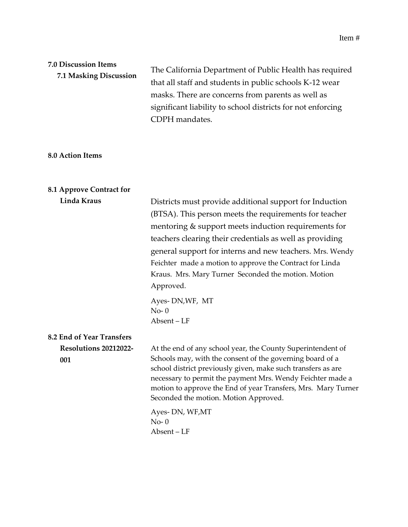# **7.0 Discussion Items 7.1 Masking Discussion**

The California Department of Public Health has required that all staff and students in public schools K-12 wear masks. There are concerns from parents as well as significant liability to school districts for not enforcing CDPH mandates.

#### **8.0 Action Items**

### **8.1 Approve Contract for**

| Linda Kraus                         | Districts must provide additional support for Induction                                                                                                                                                                                                                                                                                                          |
|-------------------------------------|------------------------------------------------------------------------------------------------------------------------------------------------------------------------------------------------------------------------------------------------------------------------------------------------------------------------------------------------------------------|
|                                     | (BTSA). This person meets the requirements for teacher                                                                                                                                                                                                                                                                                                           |
|                                     | mentoring & support meets induction requirements for                                                                                                                                                                                                                                                                                                             |
|                                     | teachers clearing their credentials as well as providing                                                                                                                                                                                                                                                                                                         |
|                                     | general support for interns and new teachers. Mrs. Wendy                                                                                                                                                                                                                                                                                                         |
|                                     | Feichter made a motion to approve the Contract for Linda                                                                                                                                                                                                                                                                                                         |
|                                     | Kraus. Mrs. Mary Turner Seconded the motion. Motion                                                                                                                                                                                                                                                                                                              |
|                                     | Approved.                                                                                                                                                                                                                                                                                                                                                        |
|                                     | Ayes-DN,WF, MT<br>$No-0$                                                                                                                                                                                                                                                                                                                                         |
|                                     | Absent-LF                                                                                                                                                                                                                                                                                                                                                        |
| 8.2 End of Year Transfers           |                                                                                                                                                                                                                                                                                                                                                                  |
| <b>Resolutions 20212022-</b><br>001 | At the end of any school year, the County Superintendent of<br>Schools may, with the consent of the governing board of a<br>school district previously given, make such transfers as are<br>necessary to permit the payment Mrs. Wendy Feichter made a<br>motion to approve the End of year Transfers, Mrs. Mary Turner<br>Seconded the motion. Motion Approved. |
|                                     | Ayes-DN, WF,MT<br>$No-0$<br>Absent-LF                                                                                                                                                                                                                                                                                                                            |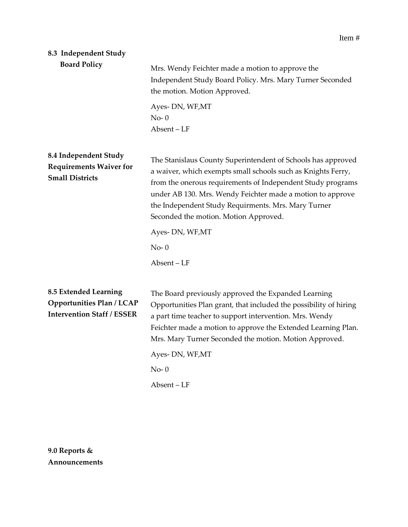# **8.3 Independent Study**

| <b>Board Policy</b>                                                                                   | Mrs. Wendy Feichter made a motion to approve the<br>Independent Study Board Policy. Mrs. Mary Turner Seconded<br>the motion. Motion Approved.                                                                                                                                                                                                             |
|-------------------------------------------------------------------------------------------------------|-----------------------------------------------------------------------------------------------------------------------------------------------------------------------------------------------------------------------------------------------------------------------------------------------------------------------------------------------------------|
|                                                                                                       | Ayes-DN, WF,MT<br>$No-0$<br>Absent-LF                                                                                                                                                                                                                                                                                                                     |
| 8.4 Independent Study<br><b>Requirements Waiver for</b><br><b>Small Districts</b>                     | The Stanislaus County Superintendent of Schools has approved<br>a waiver, which exempts small schools such as Knights Ferry,<br>from the onerous requirements of Independent Study programs<br>under AB 130. Mrs. Wendy Feichter made a motion to approve<br>the Independent Study Requirments. Mrs. Mary Turner<br>Seconded the motion. Motion Approved. |
|                                                                                                       | Ayes-DN, WF, MT                                                                                                                                                                                                                                                                                                                                           |
|                                                                                                       | $No-0$                                                                                                                                                                                                                                                                                                                                                    |
|                                                                                                       | Absent-LF                                                                                                                                                                                                                                                                                                                                                 |
| <b>8.5 Extended Learning</b><br><b>Opportunities Plan / LCAP</b><br><b>Intervention Staff / ESSER</b> | The Board previously approved the Expanded Learning<br>Opportunities Plan grant, that included the possibility of hiring<br>a part time teacher to support intervention. Mrs. Wendy<br>Feichter made a motion to approve the Extended Learning Plan.<br>Mrs. Mary Turner Seconded the motion. Motion Approved.<br>Ayes-DN, WF, MT                         |
|                                                                                                       | $No-0$                                                                                                                                                                                                                                                                                                                                                    |
|                                                                                                       | Absent-LF                                                                                                                                                                                                                                                                                                                                                 |

**9.0 Reports & Announcements**